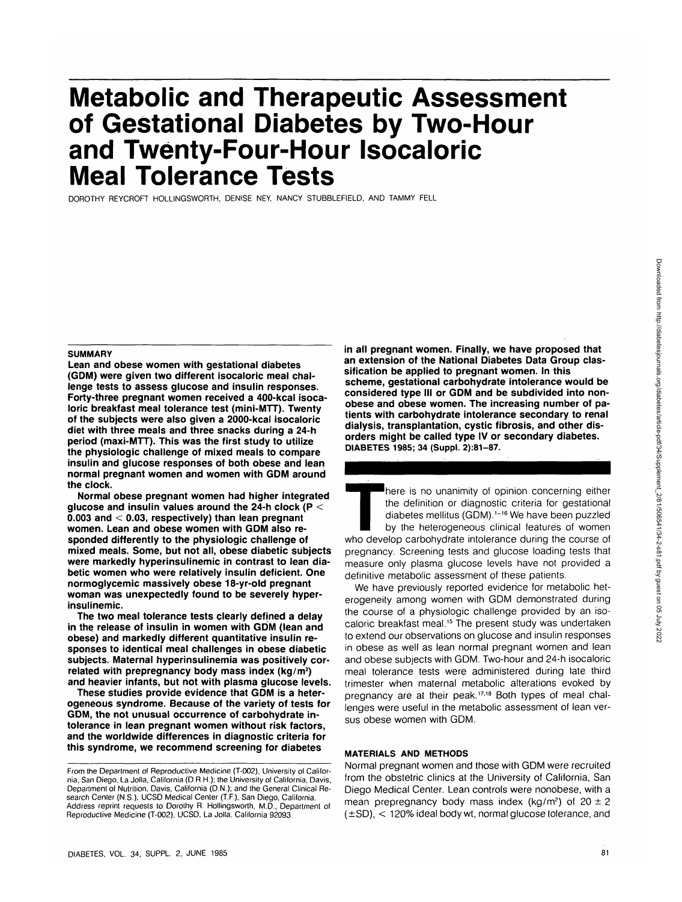# **Metabolic and Therapeutic Assessment of Gestational Diabetes by Two-Hour and Twenty-Four-Hour Isocaloric Meal Tolerance Tests**

DOROTHY REYCROFT HOLLINGSWORTH, DENISE NEY, NANCY STUBBLEFIELD, AND TAMMY FELL

#### **SUMMARY**

**Lean and obese women with gestational diabetes (GDM) were given two different isocaloric meal challenge tests to assess glucose and insulin responses. Forty-three pregnant women received a 400-kcal isocaloric breakfast meal tolerance test (mini-MTT). Twenty of the subjects were also given a 2000-kcal isocaloric diet with three meals and three snacks during a 24-h period (maxi-MTT). This was the first study to utilize the physiologic challenge of mixed meals to compare insulin and glucose responses of both obese and lean normal pregnant women and women with GDM around the clock.**

**Normal obese pregnant women had higher integrated glucose and insulin values around the 24-h clock (P < 0.003 and < 0.03, respectively) than lean pregnant women. Lean and obese women with GDM also responded differently to the physiologic challenge of mixed meals. Some, but not all, obese diabetic subjects were markedly hyperinsulinemic in contrast to lean diabetic women who were relatively insulin deficient. One normoglycemic massively obese 18-yr-old pregnant woman was unexpectedly found to be severely hyperinsulinemic.**

**The two meal tolerance tests clearly defined a delay in the release of insulin in women with GDM (lean and obese) and markedly different quantitative insulin responses to identical meal challenges in obese diabetic subjects. Maternal hyperinsulinemia was positively correlated with prepregnancy body mass index (kg/m<sup>2</sup> ) and heavier infants, but not with plasma glucose levels.**

**These studies provide evidence that GDM is a heterogeneous syndrome. Because of the variety of tests for GDM, the not unusual occurrence of carbohydrate intolerance in lean pregnant women without risk factors, and the worldwide differences in diagnostic criteria for this syndrome, we recommend screening for diabetes**

**in all pregnant women. Finally, we have proposed that an extension of the National Diabetes Data Group classification be applied to pregnant women. In this scheme, gestational carbohydrate intolerance would be considered type III or GDM and be subdivided into nonobese and obese women. The increasing number of patients with carbohydrate intolerance secondary to renal dialysis, transplantation, cystic fibrosis, and other disorders might be called type IV or secondary diabetes. DIABETES 1985; 34 (Suppl. 2):81-87.**

There is no unanimity of opinion concerning either<br>the definition or diagnostic criteria for gestational<br>diabetes mellitus (GDM).<sup>1-16</sup> We have been puzzled<br>by the heterogeneous clinical features of women<br>who develop carbo the definition or diagnostic criteria for gestational diabetes mellitus (GDM).<sup>1-16</sup> We have been puzzled by the heterogeneous clinical features of women pregnancy. Screening tests and glucose loading tests that measure only plasma glucose levels have not provided a definitive metabolic assessment of these patients.

We have previously reported evidence for metabolic heterogeneity among women with GDM demonstrated during the course of a physiologic challenge provided by an isocaloric breakfast meal.<sup>15</sup> The present study was undertaken to extend our observations on glucose and insulin responses in obese as well as lean normal pregnant women and lean and obese subjects with GDM. Two-hour and 24-h isocaloric meal tolerance tests were administered during late third trimester when maternal metabolic alterations evoked by pregnancy are at their peak.<sup>17,18</sup> Both types of meal challenges were useful in the metabolic assessment of lean versus obese women with GDM.

### **MATERIALS AND METHODS**

Normal pregnant women and those with GDM were recruited from the obstetric clinics at the University of California, San Diego Medical Center. Lean controls were nonobese, with a mean prepregnancy body mass index (kg/m<sup>2</sup>) of  $20 \pm 2$  $(\pm SD)$ ,  $\lt$  120% ideal body wt, normal glucose tolerance, and

From the Department of Reproductive Medicine (T-002), University of California, San Diego, La Jolla, California (D.R.H.); the University of California, Davis, Department of Nutrition, Davis, California (D.N.); and the General Clinical Research Center (N.S.), UCSD Medical Center (T.F.), San Diego, California. Address reprint requests to Dorothy R. Hollingsworth, M.D., Department of Reproductive Medicine (T-002), UCSD, La Jolla, California 92093.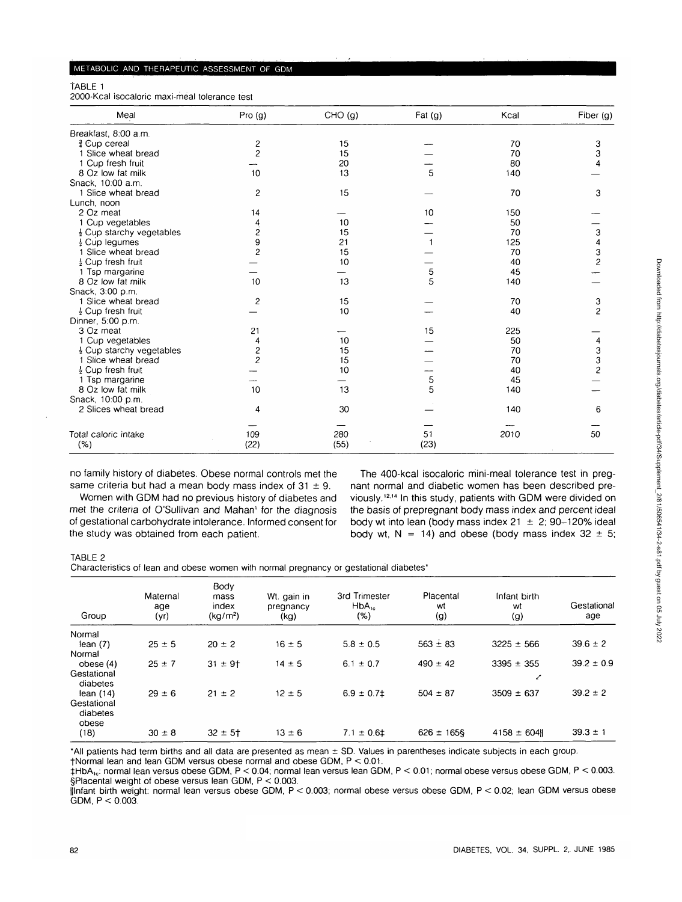TABLE 1

2000-Kcal isocaloric maxi-meal tolerance test

| Meal                                 | Pro(g)         | CHO(g) | Fat $(g)$ | Kcal | Fiber (g)      |
|--------------------------------------|----------------|--------|-----------|------|----------------|
| Breakfast, 8:00 a.m.                 |                |        |           |      |                |
| & Cup cereal                         |                | 15     |           | 70   | 3              |
| 1 Slice wheat bread                  | $\frac{2}{2}$  | 15     |           | 70   | 3              |
| 1 Cup fresh fruit                    |                | 20     |           | 80   |                |
| 8 Oz low fat milk                    | 10             | 13     | 5         | 140  |                |
| Snack, 10:00 a.m.                    |                |        |           |      |                |
| 1 Slice wheat bread                  | 2              | 15     |           | 70   | 3              |
| Lunch, noon                          |                |        |           |      |                |
| 2 Oz meat                            | 14             |        | 10        | 150  |                |
| 1 Cup vegetables                     |                | 10     |           | 50   |                |
| $\frac{1}{2}$ Cup starchy vegetables | $\frac{4}{2}$  | 15     |           | 70   | 3              |
| $\frac{1}{2}$ Cup legumes            | 9              | 21     |           | 125  | 4              |
| 1 Slice wheat bread                  | $\overline{c}$ | 15     |           | 70   | 3              |
| $\frac{1}{2}$ Cup fresh fruit        |                | 10     |           | 40   | $\overline{c}$ |
| 1 Tsp margarine                      |                |        | 5         | 45   |                |
| 8 Oz low fat milk                    | 10             | 13     | 5         | 140  |                |
| Snack, 3:00 p.m.                     |                |        |           |      |                |
| 1 Slice wheat bread                  | $\overline{c}$ | 15     |           | 70   | 3              |
| $\frac{1}{2}$ Cup fresh fruit        |                | 10     |           | 40   | $\overline{c}$ |
| Dinner, 5:00 p.m.                    |                |        |           |      |                |
| 3 Oz meat                            | 21             |        | 15        | 225  |                |
| 1 Cup vegetables                     | 4              | 10     |           | 50   | 4              |
| $\frac{1}{2}$ Cup starchy vegetables | 2              | 15     |           | 70   | 3              |
| 1 Slice wheat bread                  | $\overline{c}$ | 15     |           | 70   | 3              |
| $\frac{1}{2}$ Cup fresh fruit        |                | 10     |           | 40   | $\overline{c}$ |
| 1 Tsp margarine                      |                |        | 5         | 45   |                |
| 8 Oz low fat milk                    | 10             | 13     | 5         | 140  |                |
| Snack, 10:00 p.m.                    |                |        |           |      |                |
| 2 Slices wheat bread                 | 4              | 30     |           | 140  | 6              |
|                                      |                |        |           |      |                |
|                                      |                |        |           |      |                |
| Total caloric intake                 | 109            | 280    | 51        | 2010 | 50             |
| (% )                                 | (22)           | (55)   | (23)      |      |                |

no family history of diabetes. Obese normal controls met the same criteria but had a mean body mass index of  $31 \pm 9$ .

Women with GDM had no previous history of diabetes and met the criteria of O'Sullivan and Mahan' for the diagnosis of gestational carbohydrate intolerance. Informed consent for the study was obtained from each patient.

The 400-kcal isocaloric mini-meal tolerance test in pregnant normal and diabetic women has been described previously.<sup>12,14</sup> In this study, patients with GDM were divided on the basis of prepregnant body mass index and percent ideal body wt into lean (body mass index  $21 \pm 2$ ; 90-120% ideal body wt,  $N = 14$ ) and obese (body mass index 32  $\pm$  5;

## TABLE 2

Characteristics of lean and obese women with normal pregnancy or gestational diabetes\*

| Group                            | Maternal<br>age<br>(yr) | Body<br>mass<br>index<br>(kg/m <sup>2</sup> ) | Wt. gain in<br>pregnancy<br>(kg) | 3rd Trimester<br>$HbA_{1c}$<br>(%) | Placental<br>wt<br>(g) | Infant birth<br>wt<br>(g) | Gestational<br>age |
|----------------------------------|-------------------------|-----------------------------------------------|----------------------------------|------------------------------------|------------------------|---------------------------|--------------------|
| Normal                           |                         |                                               |                                  |                                    |                        |                           |                    |
| lean(7)                          | $25 \pm 5$              | $20 \pm 2$                                    | $16 \pm 5$                       | $5.8 \pm 0.5$                      | $563 \pm 83$           | $3225 \pm 566$            | $39.6 \pm 2$       |
| Normal                           |                         |                                               |                                  |                                    |                        |                           |                    |
| obese (4)                        | $25 \pm 7$              | $31 \pm 9$ +                                  | $14 \pm 5$                       | $6.1 \pm 0.7$                      | $490 \pm 42$           | $3395 \pm 355$            | $39.2 \pm 0.9$     |
| Gestational<br>diabetes          |                         |                                               |                                  |                                    |                        | ╱                         |                    |
| lean $(14)$                      | $29 \pm 6$              | $21 \pm 2$                                    | $12 \pm 5$                       | $6.9 \pm 0.71$                     | $504 \pm 87$           | $3509 \pm 637$            | $39.2 \pm 2$       |
| Gestational<br>diabetes<br>obese |                         |                                               |                                  |                                    |                        |                           |                    |
| (18)                             | $30 \pm 8$              | $32 \pm 5$                                    | $13 \pm 6$                       | $7.1 \pm 0.61$                     | $626 \pm 165$          | $4158 \pm 604$            | $39.3 \pm 1$       |

\*AII patients had term births and all data are presented as mean ± SD. Values in parentheses indicate subjects in each group. fNormal lean and lean GDM versus obese normal and obese GDM, P < 0.01.

 $\text{thbA}_{1c}$ : normal lean versus obese GDM, P < 0.04; normal lean versus lean GDM, P < 0.01; normal obese versus obese GDM, P < 0.003. §Placental weight of obese versus lean GDM, P < 0.003.

||lnfant birth weight: normal lean versus obese GDM, P < 0.003; normal obese versus obese GDM, P < 0.02; lean GDM versus obese  $GDM, P < 0.003$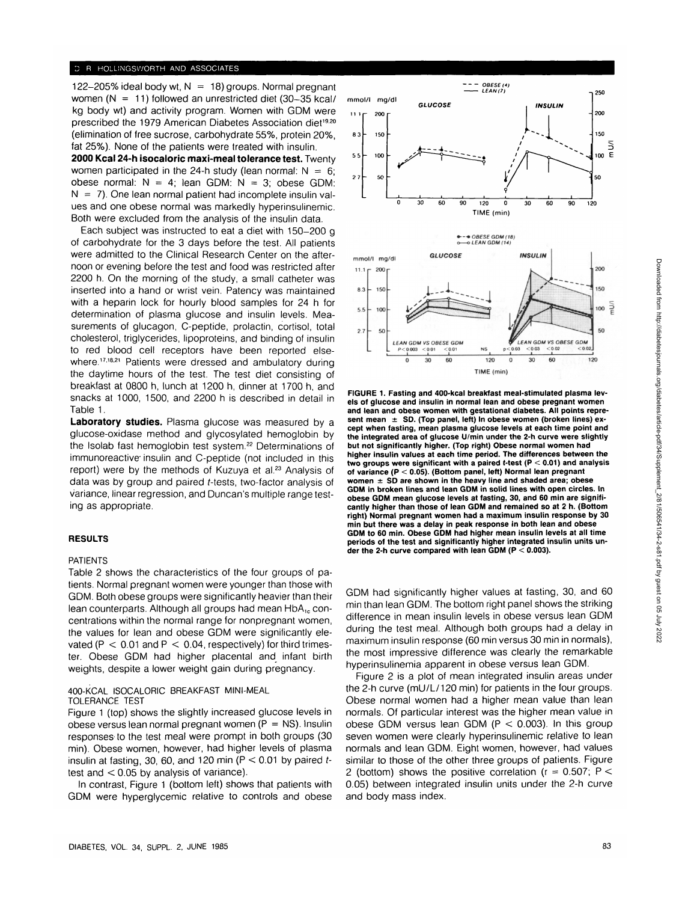## **R HOLLINGSWORTH AND ASSOCIATES**

122-205% ideal body wt,  $N = 18$ ) groups. Normal pregnant women  $(N = 11)$  followed an unrestricted diet (30-35 kcal/ kg body wt) and activity program. Women with GDM were prescribed the 1979 American Diabetes Association diet<sup>19.20</sup> (elimination of free sucrose, carbohydrate 55%, protein 20%, fat 25%). None of the patients were treated with insulin.

**2000 Kcal 24-h isocaioric maxi-meal tolerance test.** Twenty women participated in the 24-h study (lean normal:  $N = 6$ ; obese normal:  $N = 4$ ; lean GDM:  $N = 3$ ; obese GDM:  $N = 7$ ). One lean normal patient had incomplete insulin values and one obese normal was markedly hyperinsulinemic. Both were excluded from the analysis of the insulin data.

Each subject was instructed to eat a diet with 150-200 g of carbohydrate for the 3 days before the test. All patients were admitted to the Clinical Research Center on the afternoon or evening before the test and food was restricted after 2200 h. On the morning of the study, a small catheter was inserted into a hand or wrist vein. Patency was maintained with a heparin lock for hourly blood samples for 24 h for determination of plasma glucose and insulin levels. Measurements of glucagon, C-peptide, prolactin, cortisol, total cholesterol, triglycerides, lipoproteins, and binding of insulin to red blood cell receptors have been reported elsewhere.<sup>17,18,21</sup> Patients were dressed and ambulatory during the daytime hours of the test. The test diet consisting of breakfast at 0800 h, lunch at 1200 h, dinner at 1700 h, and snacks at 1000, 1500, and 2200 h is described in detail in Table 1.

**Laboratory studies.** Plasma glucose was measured by a glucose-oxidase method and glycosylated hemoglobin by the Isolab fast hemoglobin test system.<sup>22</sup> Determinations of immunoreactive' insulin and C-peptide (not included in this report) were by the methods of Kuzuya et al.<sup>23</sup> Analysis of data was by group and paired f-tests, two-factor analysis of variance, linear regression, and Duncan's multiple range testing as appropriate.

## **RESULTS**

## PATIENTS

Table 2 shows the characteristics of the four groups of patients. Normal pregnant women were younger than those with GDM. Both obese groups were significantly heavier than their lean counterparts. Although all groups had mean HbA<sub>1c</sub> concentrations within the normal range for nonpregnant women, the values for lean and obese GDM were significantly elevated ( $P < 0.01$  and  $P < 0.04$ , respectively) for third trimester. Obese GDM had higher placental and infant birth weights, despite a lower weight gain during pregnancy.

#### 400-KCAL ISOCALORIC BREAKFAST MINI-MEAL TOLERANCE TEST

Figure 1 (top) shows the slightly increased glucose levels in obese versus lean normal pregnant women  $(P = NS)$ . Insulin responses to the test meal were prompt in both groups (30 min). Obese women, however, had higher levels of plasma insulin at fasting, 30, 60, and 120 min ( $P < 0.01$  by paired ttest and  $< 0.05$  by analysis of variance).

In contrast, Figure 1 (bottom left) shows that patients with GDM were hyperglycemic relative to controls and obese



**FIGURE 1. Fasting and 400-kcal breakfast meal-stimulated plasma levels of glucose and insulin in normal lean and obese pregnant women and lean and obese women with gestational diabetes. All points represent mean ± SD. (Top panel, left) In obese women (broken lines) except when fasting, mean plasma glucose levels at each time point and the integrated area of glucose U/min under the 2-h curve were slightly but not significantly higher. (Top right) Obese normal women had higher insulin values at each time period. The differences between the two groups were significant with a paired f-test (P < 0.01) and analysis of variance (P < 0.05). (Bottom panel, left) Normal lean pregnant women ± SO are shown in the heavy line and shaded area; obese GDM in broken lines and lean GDM in solid lines with open circles. In obese GDM mean glucose levels at fasting, 30, and 60 min are significantly higher than those of lean GDM and remained so at 2 h. (Bottom right) Normal pregnant women had a maximum insulin response by 30 min but there was a delay in peak response in both lean and obese GDM to 60 min. Obese GDM had higher mean insulin levels at all time periods of the test and significantly higher integrated insulin units un**der the 2-h curve compared with lean GDM ( $P < 0.003$ ).

GDM had significantly higher values at fasting, 30, and 60 min than lean GDM. The bottom right panel shows the striking difference in mean insulin levels in obese versus lean GDM during the test meal. Although both groups had a delay in maximum insulin response (60 min versus 30 min in normals), the most impressive difference was clearly the remarkable hyperinsulinemia apparent in obese versus lean GDM.

Figure 2 is a plot of mean integrated insulin areas under the 2-h curve (mU/L/120 min) for patients in the four groups. Obese normal women had a higher mean value than lean normals. Of particular interest was the higher mean value in obese GDM versus lean GDM  $(P < 0.003)$ . In this group seven women were clearly hyperinsulinemic relative to lean normals and lean GDM. Eight women, however, had values similar to those of the other three groups of patients. Figure 2 (bottom) shows the positive correlation ( $r = 0.507$ ; P < 0.05) between integrated insulin units under the 2-h curve and body mass index.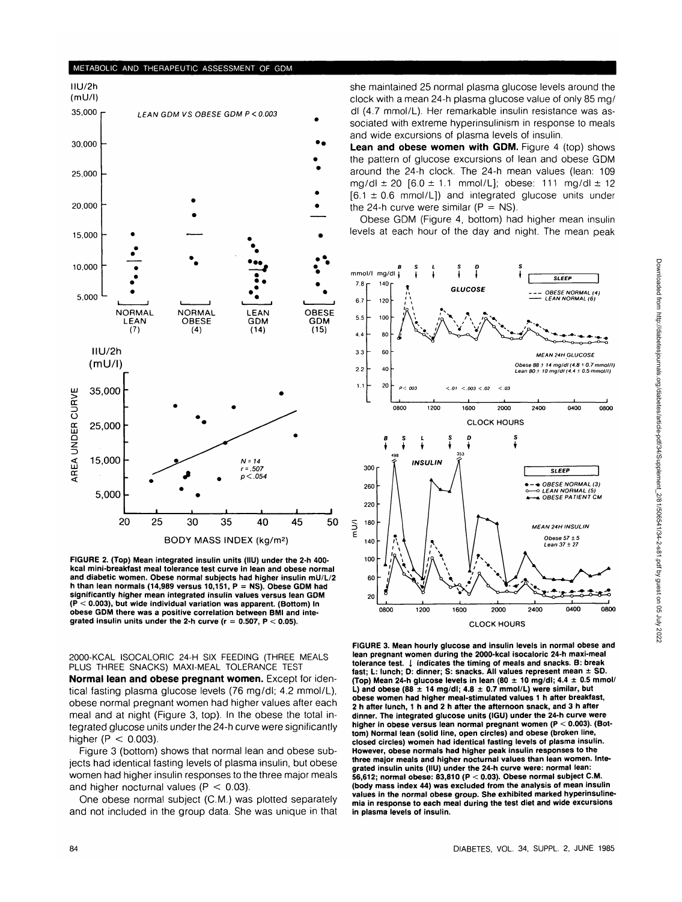#### METABOLIC AND THERAPEUTIC ASSESSMENT OF GDM



**FIGURE 2. (Top) Mean integrated insulin units (IIU) under the 2-h 400 kcal mini-breakfast meal tolerance test curve in lean and obese normal and diabetic women. Obese normal subjects had higher insulin mU/L/2 h than lean normals (14,989 versus 10,151, P = NS). Obese GDM had significantly higher mean integrated insulin values versus lean GDM (P < 0.003), but wide individual variation was apparent. (Bottom) In obese GDM there was a positive correlation between BMI and integrated insulin units under the 2-h curve (r = 0.507, P < 0.05).**

2000-KCAL ISOCALORIC 24-H SIX FEEDING (THREE MEALS PLUS THREE SNACKS) MAXI-MEAL TOLERANCE TEST

**Normal lean and obese pregnant women.** Except for identical fasting plasma glucose levels (76 mg/dl; 4.2 mmol/L), obese normal pregnant women had higher values after each meal and at night (Figure 3, top). In the obese the total integrated glucose units under the 24-h curve were significantly higher ( $P < 0.003$ ).

Figure 3 (bottom) shows that normal lean and obese subjects had identical fasting levels of plasma insulin, but obese women had higher insulin responses to the three major meals and higher nocturnal values ( $P < 0.03$ ).

One obese normal subject (C.M.) was plotted separately and not included in the group data. She was unique in that she maintained 25 normal plasma glucose levels around the clock with a mean 24-h plasma glucose value of only 85 mg/ dl (4.7 mmol/L). Her remarkable insulin resistance was associated with extreme hyperinsulinism in response to meals and wide excursions of plasma levels of insulin.

Lean and obese women with GDM. Figure 4 (top) shows the pattern of glucose excursions of lean and obese GDM around the 24-h clock. The 24-h mean values (lean: 109 mg/dl  $\pm$  20 [6.0  $\pm$  1.1 mmol/L]; obese: 111 mg/dl  $\pm$  12  $[6.1 \pm 0.6 \text{ mmol/L}]$  and integrated glucose units under the 24-h curve were similar ( $P = NS$ ).

Obese GDM (Figure 4, bottom) had higher mean insulin levels at each hour of the day and night. The mean peak



**FIGURE 3. Mean hourly glucose and insulin levels in normal obese and lean pregnant women during the 2000-kcal isocaloric 24-h maxi-meal tolerance test. I indicates the timing of meals and snacks. B: break fast; L: lunch; D: dinner; S: snacks. All values represent mean ± SD. (Top) Mean 24-h glucose levels in lean (80 ± 10 mg/dl; 4.4 ± 0.5 mmol/ L) and obese (88 ± 14 mg/dl; 4.8 ± 0.7 mmol/L) were similar, but obese women had higher meal-stimulated values 1 h after breakfast, 2 h after lunch, 1 h and 2 h after the afternoon snack, and 3 h after dinner. The integrated glucose units (IGU) under the 24-h curve were higher in obese versus lean normal pregnant women (P < 0.003). (Bottom) Normal lean (solid line, open circles) and obese (broken line, closed circles) women had identical fasting levels of plasma insulin. However, obese normals had higher peak insulin responses to the three major meals and higher nocturnal values than lean women. Integrated insulin units (IIU) under the 24-h curve were: normal lean: 56,612; normal obese: 83,810 (P < 0.03). Obese normal subject CM. (body mass index 44) was excluded from the analysis of mean insulin values in the normal obese group. She exhibited marked hyperinsulinemia in response to each meal during the test diet and wide excursions in plasma levels of insulin.**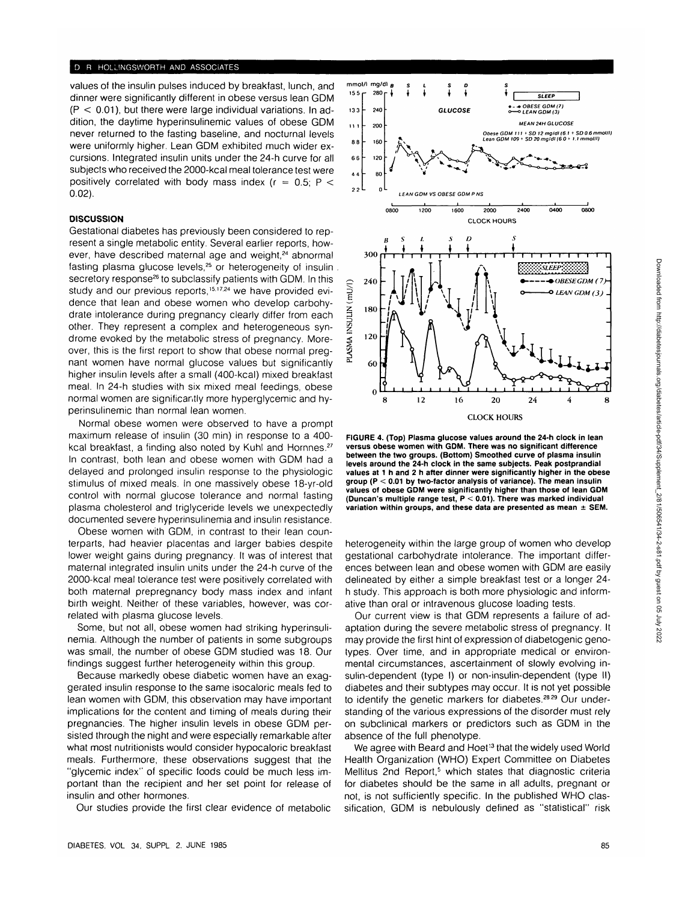values of the insulin pulses induced by breakfast, lunch, and dinner were significantly different in obese versus lean GDM  $(P < 0.01)$ , but there were large individual variations. In addition, the daytime hyperinsulinemic values of obese GDM never returned to the fasting baseline, and nocturnal levels were uniformly higher. Lean GDM exhibited much wider excursions. Integrated insulin units under the 24-h curve for all subjects who received the 2000-kcal meal tolerance test were positively correlated with body mass index ( $r = 0.5$ ; P < 0.02).

### **DISCUSSION**

Gestational diabetes has previously been considered to represent a single metabolic entity. Several earlier reports, however, have described maternal age and weight,<sup>24</sup> abnormal fasting plasma glucose levels,<sup>25</sup> or heterogeneity of insulin secretory response<sup>26</sup> to subclassify patients with GDM. In this study and our previous reports,<sup>15,17,24</sup> we have provided evidence that lean and obese women who develop carbohydrate intolerance during pregnancy clearly differ from each other. They represent a complex and heterogeneous syndrome evoked by the metabolic stress of pregnancy. Moreover, this is the first report to show that obese normal pregnant women have normal glucose values but significantly higher insulin levels after a small (400-kcal) mixed breakfast meal. In 24-h studies with six mixed meal feedings, obese normal women are significantly more hyperglycemic and hyperinsulinemic than normal lean women.

Normal obese women were observed to have a prompt maximum release of insulin (30 min) in response to a 400 kcal breakfast, a finding also noted by Kuhl and Hornnes.<sup>27</sup> In contrast, both lean and obese women with GDM had a delayed and prolonged insulin response to the physiologic stimulus of mixed meals. In one massively obese 18-yr-old control with normal glucose tolerance and normal fasting plasma cholesterol and triglyceride levels we unexpectedly documented severe hyperinsulinemia and insulin resistance.

Obese women with GDM, in contrast to their lean counterparts, had heavier placentas and larger babies despite lower weight gains during pregnancy. It was of interest that maternal integrated insulin units under the 24-h curve of the 2000-kcal meal tolerance test were positively correlated with both maternal prepregnancy body mass index and infant birth weight. Neither of these variables, however, was correlated with plasma glucose levels.

Some, but not all, obese women had striking hyperinsulinemia. Although the number of patients in some subgroups was small, the number of obese GDM studied was 18. Our findings suggest further heterogeneity within this group.

Because markedly obese diabetic women have an exaggerated insulin response to the same isocaloric meals fed to lean women with GDM, this observation may have important implications for the content and timing of meals during their pregnancies. The higher insulin levels in obese GDM persisted through the night and were especially remarkable after what most nutritionists would consider hypocaloric breakfast meals. Furthermore, these observations suggest that the "glycemic index" of specific foods could be much less important than the recipient and her set point for release of insulin and other hormones.

Our studies provide the first clear evidence of metabolic



**FIGURE 4. (Top) Plasma glucose values around the 24-h clock in lean versus obese women with GDM. There was no significant difference between the two groups. (Bottom) Smoothed curve of plasma insulin levels around the 24-h clock in the same subjects. Peak postprandial values at 1 h and 2 h after dinner were significantly higher in the obese group (P < 0.01 by two-factor analysis of variance). The mean insulin values of obese GDM were significantly higher than those of lean GDM (Duncan's multiple range test, P < 0.01). There was marked individual variation within groups, and these data are presented as mean ± SEM.**

heterogeneity within the large group of women who develop gestational carbohydrate intolerance. The important differences between lean and obese women with GDM are easily delineated by either a simple breakfast test or a longer 24 h study. This approach is both more physiologic and informative than oral or intravenous glucose loading tests.

Our current view is that GDM represents a failure of adaptation during the severe metabolic stress of pregnancy. It may provide the first hint of expression of diabetogenic genotypes. Over time, and in appropriate medical or environmental circumstances, ascertainment of slowly evolving insulin-dependent (type I) or non-insulin-dependent (type II) diabetes and their subtypes may occur. It is not yet possible to identify the genetic markers for diabetes.<sup>28,29</sup> Our understanding of the various expressions of the disorder must rely on subclinical markers or predictors such as GDM in the absence of the full phenotype.

We agree with Beard and Hoet<sup>13</sup> that the widely used World Health Organization (WHO) Expert Committee on Diabetes Mellitus 2nd Report,<sup>5</sup> which states that diagnostic criteria for diabetes should be the same in all adults, pregnant or not, is not sufficiently specific. In the published WHO classification, GDM is nebulously defined as "statistical" risk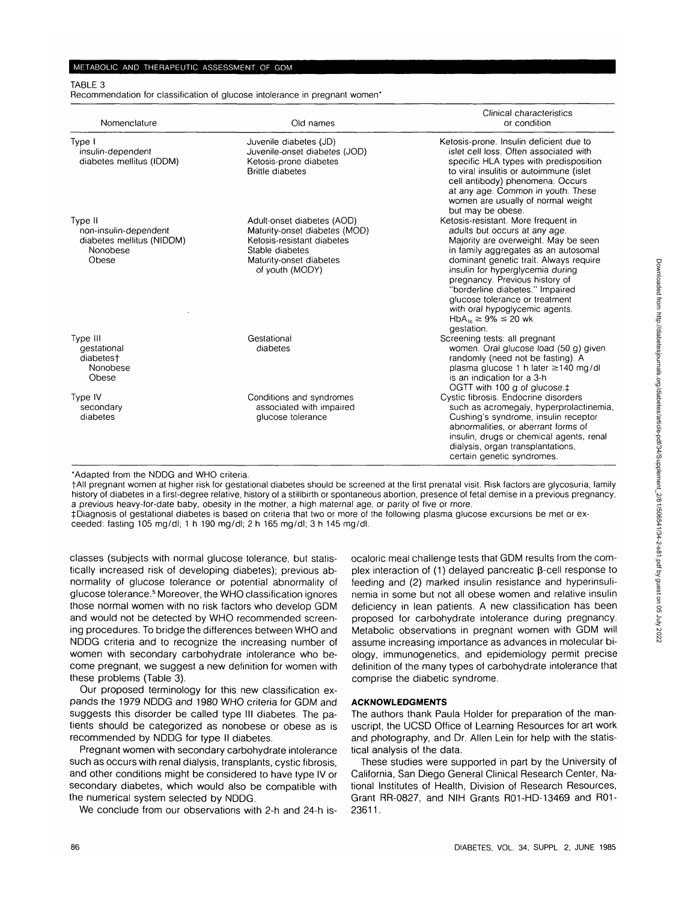#### METABOLIC AND THERAPEUTIC ASSESSMENT OF GDM

TABLE 3

Recommendation for classification of glucose intolerance in pregnant women\*

| Nomenclature                                                                       | Old names                                                                                                                                                  | Clinical characteristics<br>or condition                                                                                                                                                                                                                                                                                                                                                                                  |
|------------------------------------------------------------------------------------|------------------------------------------------------------------------------------------------------------------------------------------------------------|---------------------------------------------------------------------------------------------------------------------------------------------------------------------------------------------------------------------------------------------------------------------------------------------------------------------------------------------------------------------------------------------------------------------------|
| Type I<br>insulin-dependent<br>diabetes mellitus (IDDM)                            | Juvenile diabetes (JD)<br>Juvenile-onset diabetes (JOD)<br>Ketosis-prone diabetes<br><b>Brittle diabetes</b>                                               | Ketosis-prone. Insulin deficient due to<br>islet cell loss. Often associated with<br>specific HLA types with predisposition<br>to viral insulitis or autoimmune (islet<br>cell antibody) phenomena. Occurs<br>at any age. Common in youth. These<br>women are usually of normal weight<br>but may be obese.                                                                                                               |
| Type II<br>non-insulin-dependent<br>diabetes mellitus (NIDDM)<br>Nonobese<br>Obese | Adult-onset diabetes (AOD)<br>Maturity-onset diabetes (MOD)<br>Ketosis-resistant diabetes<br>Stable diabetes<br>Maturity-onset diabetes<br>of youth (MODY) | Ketosis-resistant. More frequent in<br>adults but occurs at any age.<br>Majority are overweight. May be seen<br>in family aggregates as an autosomal<br>dominant genetic trait. Always require<br>insulin for hyperglycemia during<br>pregnancy. Previous history of<br>"borderline diabetes." Impaired<br>glucose tolerance or treatment<br>with oral hypoglycemic agents.<br>$HbA_{1c} \ge 9\% \le 20$ wk<br>gestation. |
| Type III<br>gestational<br>diabetest<br>Nonobese<br>Obese                          | Gestational<br>diabetes                                                                                                                                    | Screening tests: all pregnant<br>women. Oral glucose load (50 g) given<br>randomly (need not be fasting). A<br>plasma glucose 1 h later $\geq$ 140 mg/dl<br>is an indication for a 3-h<br>OGTT with 100 g of glucose.‡                                                                                                                                                                                                    |
| Type IV<br>secondary<br>diabetes                                                   | Conditions and syndromes<br>associated with impaired<br>glucose tolerance                                                                                  | Cystic fibrosis. Endocrine disorders<br>such as acromegaly, hyperprolactinemia,<br>Cushing's syndrome, insulin receptor<br>abnormalities, or aberrant forms of<br>insulin, drugs or chemical agents, renal<br>dialysis, organ transplantations,<br>certain genetic syndromes.                                                                                                                                             |

'Adapted from the NDDG and WHO criteria.

fAII pregnant women at higher risk for gestational diabetes should be screened at the first prenatal visit. Risk factors are glycosuria, family history of diabetes in a first-degree relative, history of a stillbirth or spontaneous abortion, presence of fetal demise in a previous pregnancy, a previous heavy-for-date baby, obesity in the mother, a high maternal age, or parity of five or more.

^Diagnosis of gestational diabetes is based on criteria that two or more of the following plasma glucose excursions be met or exceeded: fasting 105 mg/dl; 1 h 190 mg/dl; 2 h 165 mg/dl; 3 h 145 mg/dl.

classes (subjects with normal glucose tolerance, but statistically increased risk of developing diabetes); previous abnormality of glucose tolerance or potential abnormality of glucose tolerance.<sup>5</sup> Moreover, the WHO classification ignores those normal women with no risk factors who develop GDM and would not be detected by WHO recommended screening procedures. To bridge the differences between WHO and NDDG criteria and to recognize the increasing number of women with secondary carbohydrate intolerance who become pregnant, we suggest a new definition for women with these problems (Table 3).

Our proposed terminology for this new classification expands the 1979 NDDG and 1980 WHO criteria for GDM and suggests this disorder be called type III diabetes. The patients should be categorized as nonobese or obese as is recommended by NDDG for type II diabetes.

Pregnant women with secondary carbohydrate intolerance such as occurs with renal dialysis, transplants, cystic fibrosis, and other conditions might be considered to have type IV or secondary diabetes, which would also be compatible with the numerical system selected by NDDG.

We conclude from our observations with 2-h and 24-h is-

ocaloric meal challenge tests that GDM results from the complex interaction of (1) delayed pancreatic  $\beta$ -cell response to feeding and (2) marked insulin resistance and hyperinsulinemia in some but not all obese women and relative insulin deficiency in lean patients. A new classification has been proposed for carbohydrate intolerance during pregnancy. Metabolic observations in pregnant women with GDM will assume increasing importance as advances in molecular biology, immunogenetics, and epidemiology permit precise definition of the many types of carbohydrate intolerance that comprise the diabetic syndrome.

## **ACKNOWLEDGMENTS**

The authors thank Paula Holder for preparation of the manuscript, the UCSD Office of Learning Resources for art work and photography, and Dr. Allen Lein for help with the statistical analysis of the data.

These studies were supported in part by the University of California, San Diego General Clinical Research Center, National Institutes of Health, Division of Research Resources, Grant RR-0827, and NIH Grants R01-HD-13469 and R01- 23611.